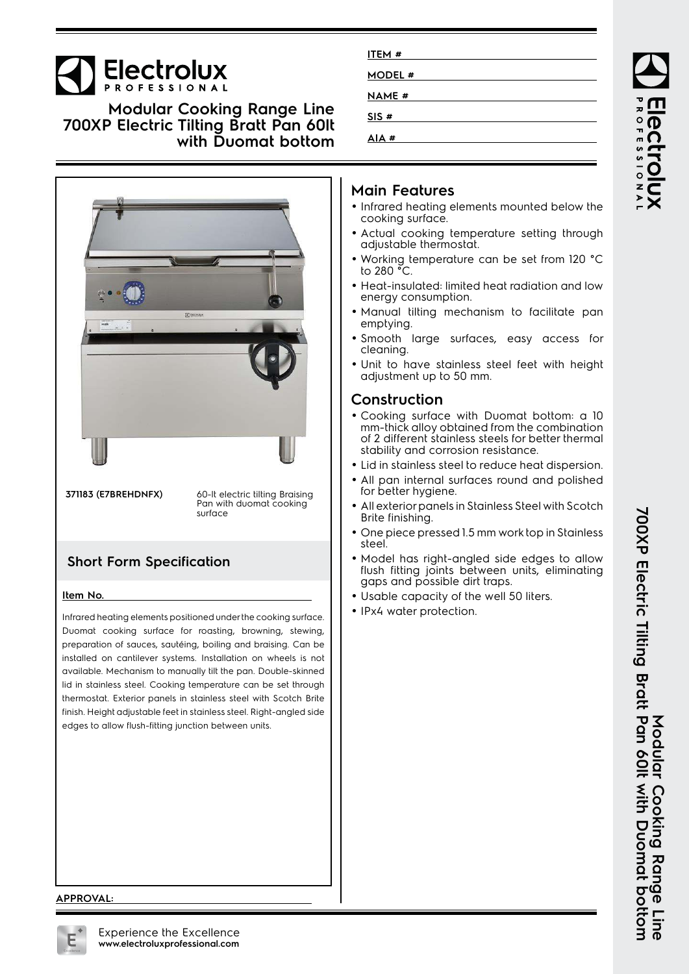# **Electrolux**

**Modular Cooking Range Line 700XP Electric Tilting Bratt Pan 60lt with Duomat bottom**



**371183 (E7BREHDNFX)** 60-lt electric tilting Braising Pan with duomat cooking surface

## **Short Form Specification**

#### **Item No.**

Infrared heating elements positioned under the cooking surface. Duomat cooking surface for roasting, browning, stewing, preparation of sauces, sautéing, boiling and braising. Can be installed on cantilever systems. Installation on wheels is not available. Mechanism to manually tilt the pan. Double-skinned lid in stainless steel. Cooking temperature can be set through thermostat. Exterior panels in stainless steel with Scotch Brite finish. Height adjustable feet in stainless steel. Right-angled side edges to allow flush-fitting junction between units.

| ITEM #        |  |
|---------------|--|
| MODEL #       |  |
| <b>NAME</b> # |  |
| SIS#          |  |
| AIA #         |  |
|               |  |

### **Main Features**

- Infrared heating elements mounted below the cooking surface.
- Actual cooking temperature setting through adjustable thermostat.
- Working temperature can be set from 120 °C to 280 °C.
- Heat-insulated: limited heat radiation and low energy consumption.
- Manual tilting mechanism to facilitate pan emptying.
- Smooth large surfaces, easy access for cleaning.
- Unit to have stainless steel feet with height adjustment up to 50 mm.

### **Construction**

- Cooking surface with Duomat bottom: a 10 mm-thick alloy obtained from the combination of 2 different stainless steels for better thermal stability and corrosion resistance.
- Lid in stainless steel to reduce heat dispersion.
- • All pan internal surfaces round and polished for better hygiene.
- • All exterior panels in Stainless Steel with Scotch Brite finishing.
- One piece pressed 1.5 mm work top in Stainless steel.
- Model has right-angled side edges to allow flush fitting joints between units, eliminating gaps and possible dirt traps.
- Usable capacity of the well 50 liters.
- IPx4 water protection.

**ROFESSIONA** 

#### **APPROVAL:**

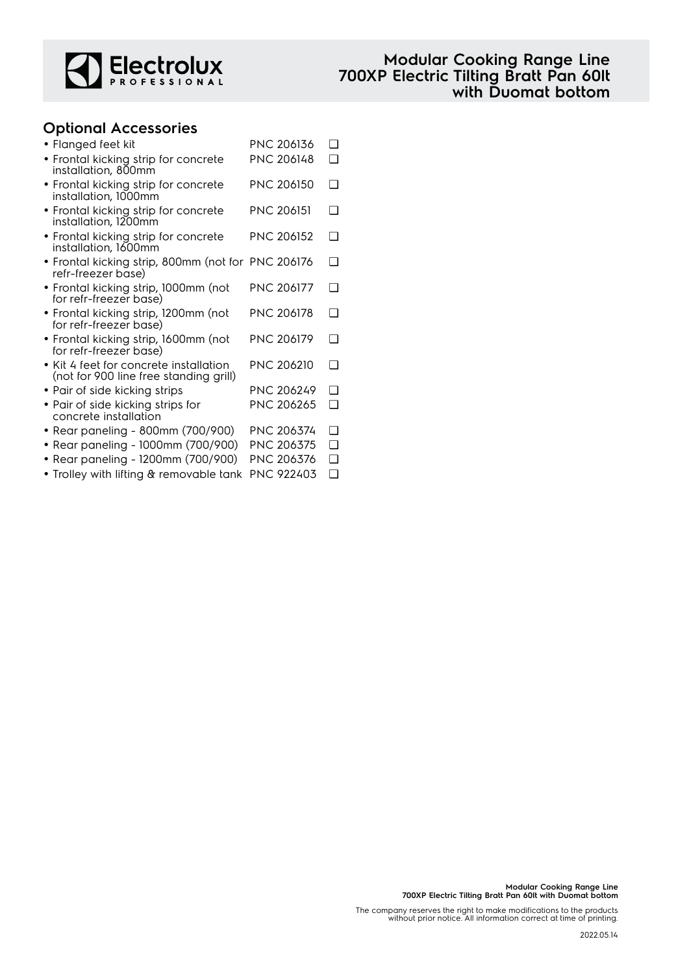

## **Optional Accessories**

| • Flanged feet kit                                                               | PNC 206136        | □      |
|----------------------------------------------------------------------------------|-------------------|--------|
| • Frontal kicking strip for concrete<br>installation, 800mm                      | PNC 206148        | ∩      |
| • Frontal kicking strip for concrete<br>installation, 1000mm                     | <b>PNC 206150</b> | ◻      |
| • Frontal kicking strip for concrete<br>installation, 1200mm                     | <b>PNC 206151</b> | ∩      |
| • Frontal kicking strip for concrete<br>installation, 1600mm                     | <b>PNC 206152</b> | □      |
| • Frontal kicking strip, 800mm (not for PNC 206176<br>refr-freezer base)         |                   | ❏      |
| • Frontal kicking strip, 1000mm (not<br>for refr-freezer base)                   | <b>PNC 206177</b> | ∩      |
| • Frontal kicking strip, 1200mm (not<br>for refr-freezer base)                   | PNC 206178        | □      |
| • Frontal kicking strip, 1600mm (not<br>for refr-freezer base)                   | <b>PNC 206179</b> | ∩      |
| • Kit 4 feet for concrete installation<br>(not for 900 line free standing grill) | PNC 206210        | ∩      |
| • Pair of side kicking strips                                                    | <b>PNC 206249</b> | $\Box$ |
| · Pair of side kicking strips for<br>concrete installation                       | <b>PNC 206265</b> | ❏      |
| • Rear paneling - 800mm (700/900)                                                | PNC 206374        | ❏      |
| • Rear paneling - 1000mm (700/900)                                               | PNC 206375        | ❏      |
| • Rear paneling - 1200mm (700/900)                                               | PNC 206376        | $\Box$ |
| • Trolley with lifting & removable tank                                          | PNC 922403        | $\Box$ |